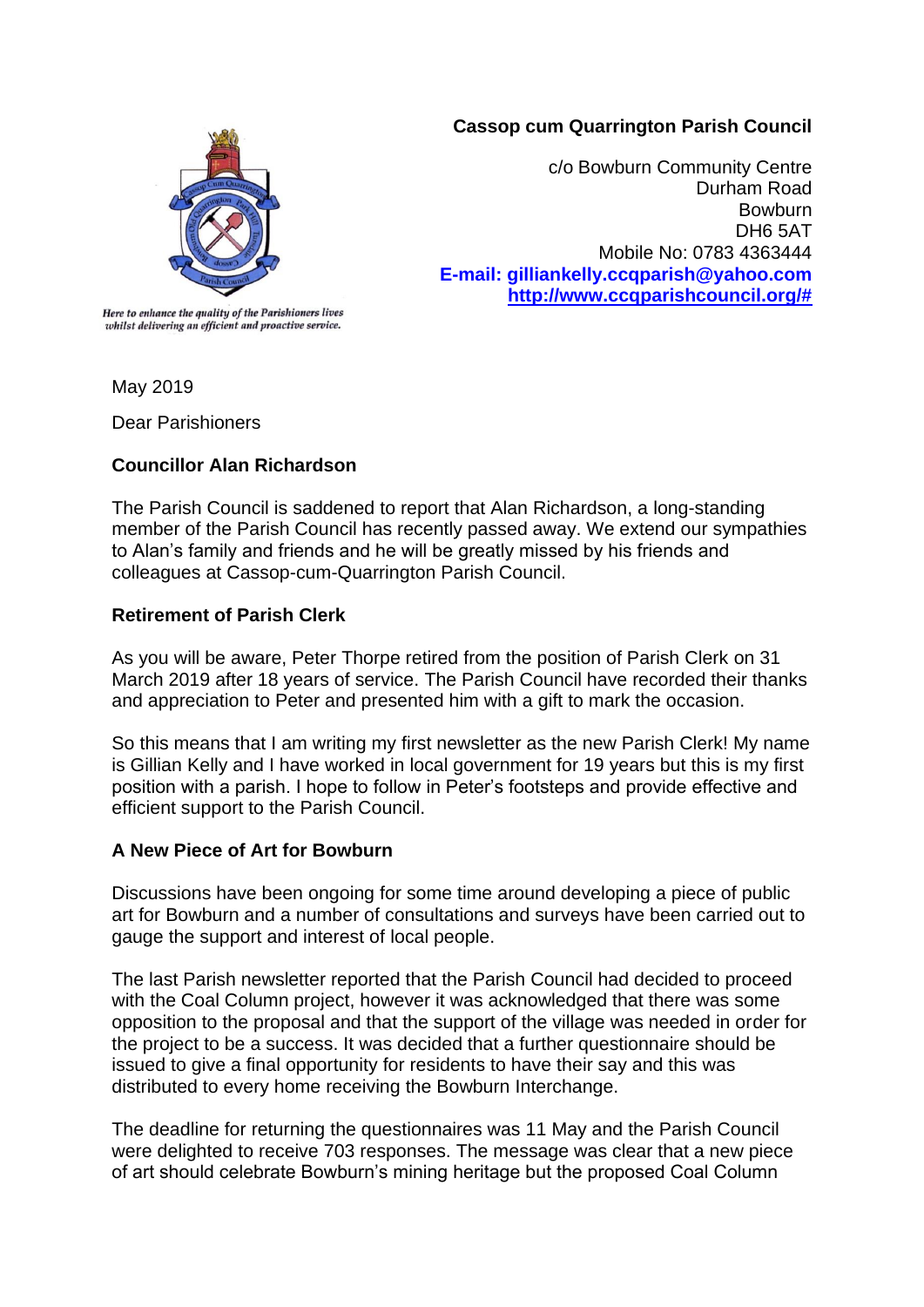### **Cassop cum Quarrington Parish Council**



c/o Bowburn Community Centre Durham Road **Bowburn** DH6 5AT Mobile No: 0783 4363444 **E-mail: gilliankelly.ccqparish@yahoo.com [http://www.ccqparishcouncil.org/#](http://www.ccqparishcouncil.org/)**

Here to enhance the quality of the Parishioners lives whilst delivering an efficient and proactive service.

May 2019

Dear Parishioners

# **Councillor Alan Richardson**

The Parish Council is saddened to report that Alan Richardson, a long-standing member of the Parish Council has recently passed away. We extend our sympathies to Alan's family and friends and he will be greatly missed by his friends and colleagues at Cassop-cum-Quarrington Parish Council.

# **Retirement of Parish Clerk**

As you will be aware, Peter Thorpe retired from the position of Parish Clerk on 31 March 2019 after 18 years of service. The Parish Council have recorded their thanks and appreciation to Peter and presented him with a gift to mark the occasion.

So this means that I am writing my first newsletter as the new Parish Clerk! My name is Gillian Kelly and I have worked in local government for 19 years but this is my first position with a parish. I hope to follow in Peter's footsteps and provide effective and efficient support to the Parish Council.

# **A New Piece of Art for Bowburn**

Discussions have been ongoing for some time around developing a piece of public art for Bowburn and a number of consultations and surveys have been carried out to gauge the support and interest of local people.

The last Parish newsletter reported that the Parish Council had decided to proceed with the Coal Column project, however it was acknowledged that there was some opposition to the proposal and that the support of the village was needed in order for the project to be a success. It was decided that a further questionnaire should be issued to give a final opportunity for residents to have their say and this was distributed to every home receiving the Bowburn Interchange.

The deadline for returning the questionnaires was 11 May and the Parish Council were delighted to receive 703 responses. The message was clear that a new piece of art should celebrate Bowburn's mining heritage but the proposed Coal Column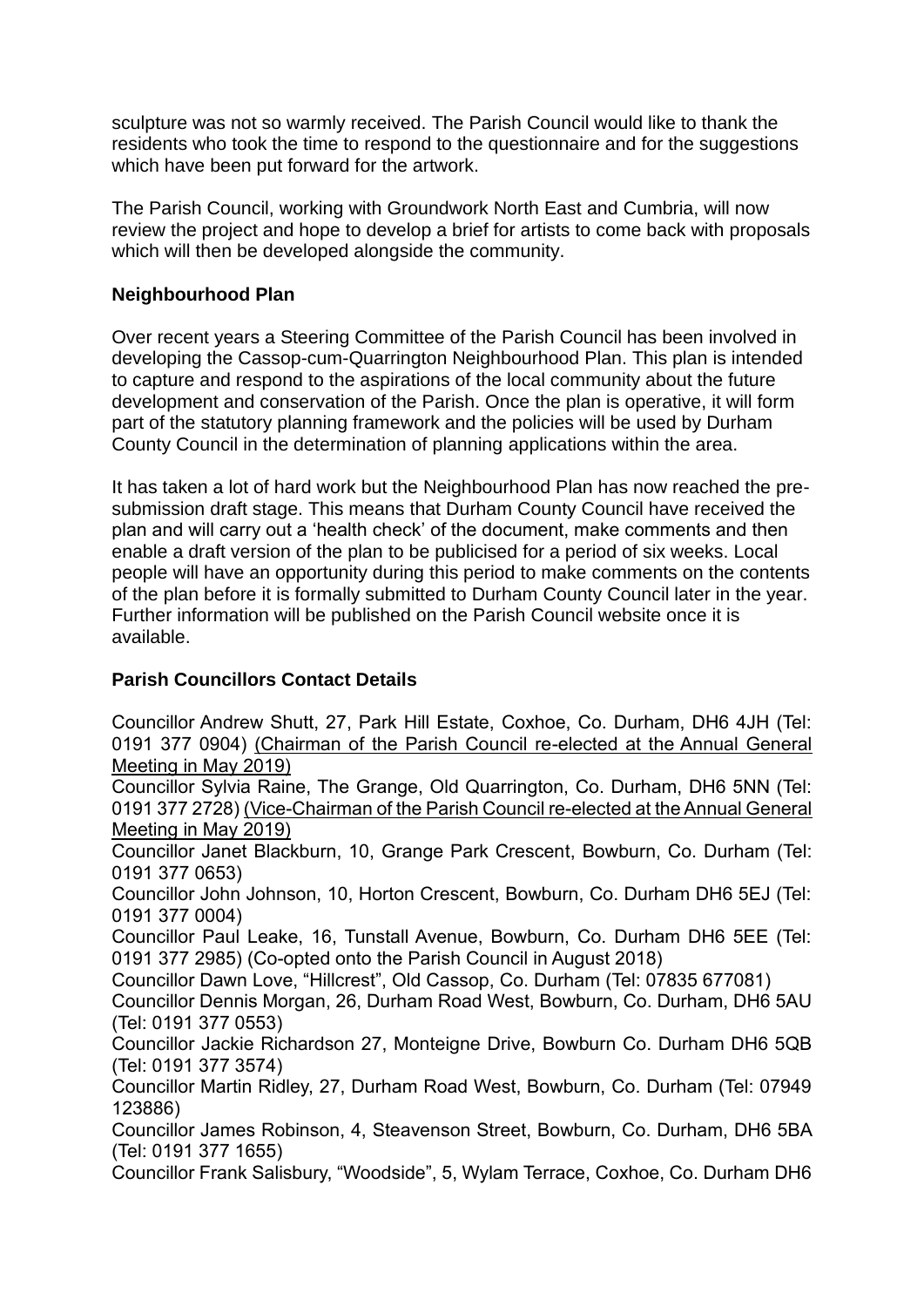sculpture was not so warmly received. The Parish Council would like to thank the residents who took the time to respond to the questionnaire and for the suggestions which have been put forward for the artwork.

The Parish Council, working with Groundwork North East and Cumbria, will now review the project and hope to develop a brief for artists to come back with proposals which will then be developed alongside the community.

### **Neighbourhood Plan**

Over recent years a Steering Committee of the Parish Council has been involved in developing the Cassop-cum-Quarrington Neighbourhood Plan. This plan is intended to capture and respond to the aspirations of the local community about the future development and conservation of the Parish. Once the plan is operative, it will form part of the statutory planning framework and the policies will be used by Durham County Council in the determination of planning applications within the area.

It has taken a lot of hard work but the Neighbourhood Plan has now reached the presubmission draft stage. This means that Durham County Council have received the plan and will carry out a 'health check' of the document, make comments and then enable a draft version of the plan to be publicised for a period of six weeks. Local people will have an opportunity during this period to make comments on the contents of the plan before it is formally submitted to Durham County Council later in the year. Further information will be published on the Parish Council website once it is available.

# **Parish Councillors Contact Details**

Councillor Andrew Shutt, 27, Park Hill Estate, Coxhoe, Co. Durham, DH6 4JH (Tel: 0191 377 0904) (Chairman of the Parish Council re-elected at the Annual General Meeting in May 2019)

Councillor Sylvia Raine, The Grange, Old Quarrington, Co. Durham, DH6 5NN (Tel: 0191 377 2728) (Vice-Chairman of the Parish Council re-elected at the Annual General Meeting in May 2019)

Councillor Janet Blackburn, 10, Grange Park Crescent, Bowburn, Co. Durham (Tel: 0191 377 0653)

Councillor John Johnson, 10, Horton Crescent, Bowburn, Co. Durham DH6 5EJ (Tel: 0191 377 0004)

Councillor Paul Leake, 16, Tunstall Avenue, Bowburn, Co. Durham DH6 5EE (Tel: 0191 377 2985) (Co-opted onto the Parish Council in August 2018)

Councillor Dawn Love, "Hillcrest", Old Cassop, Co. Durham (Tel: 07835 677081)

Councillor Dennis Morgan, 26, Durham Road West, Bowburn, Co. Durham, DH6 5AU (Tel: 0191 377 0553)

Councillor Jackie Richardson 27, Monteigne Drive, Bowburn Co. Durham DH6 5QB (Tel: 0191 377 3574)

Councillor Martin Ridley, 27, Durham Road West, Bowburn, Co. Durham (Tel: 07949 123886)

Councillor James Robinson, 4, Steavenson Street, Bowburn, Co. Durham, DH6 5BA (Tel: 0191 377 1655)

Councillor Frank Salisbury, "Woodside", 5, Wylam Terrace, Coxhoe, Co. Durham DH6